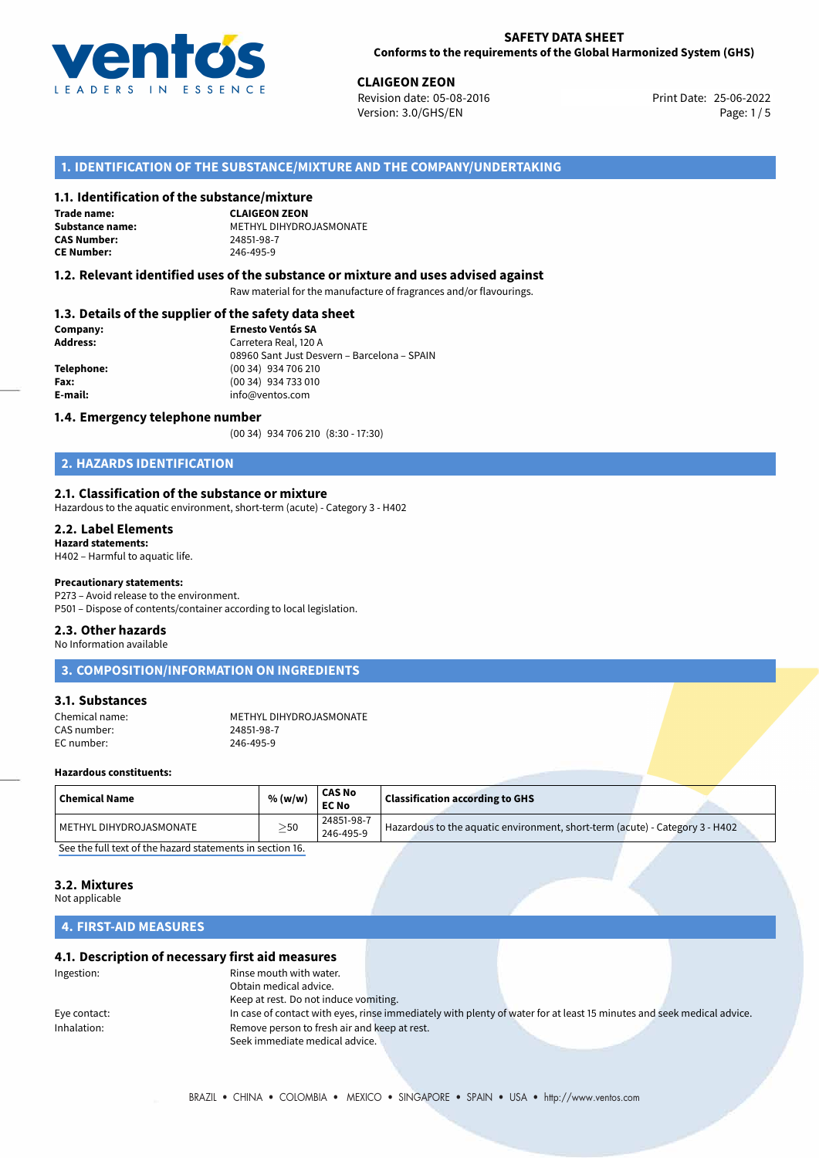

25-06-2022 **CLAIGEON ZEON** Revision date: 05-08-2016 Print Date: Version: 3.0/GHS/EN Page: 1/5

## **1. IDENTIFICATION OF THE SUBSTANCE/MIXTURE AND THE COMPANY/UNDERTAKING**

#### **1.1. Identification of the substance/mixture**

**Trade name: CAS Number: CE Number:** 246-495-9

**CLAIGEON ZEON Substance name:** METHYL DIHYDROJASMONATE

#### **1.2. Relevant identified uses of the substance or mixture and uses advised against**

Raw material for the manufacture of fragrances and/or flavourings.

#### **1.3. Details of the supplier of the safety data sheet**

| Company:   | <b>Ernesto Ventós SA</b>                    |  |
|------------|---------------------------------------------|--|
| Address:   | Carretera Real, 120 A                       |  |
|            | 08960 Sant Just Desvern - Barcelona - SPAIN |  |
| Telephone: | (00 34) 934 706 210                         |  |
| Fax:       | (00 34) 934 733 010                         |  |
| E-mail:    | info@ventos.com                             |  |
|            |                                             |  |

#### **1.4. Emergency telephone number**

(00 34) 934 706 210 (8:30 - 17:30)

# **2. HAZARDS IDENTIFICATION**

#### **2.1. Classification of the substance or mixture**

Hazardous to the aquatic environment, short-term (acute) - Category 3 - H402

#### **2.2. Label Elements**

**Hazard statements:** H402 – Harmful to aquatic life.

#### **Precautionary statements:**

P273 – Avoid release to the environment. P501 – Dispose of contents/container according to local legislation.

#### **2.3. Other hazards**

No Information available

## **3. COMPOSITION/INFORMATION ON INGREDIENTS**

#### **3.1. Substances**

Chemical name: METHYL DIHYDROJASMONATE<br>CAS number: 24851-98-7 CAS number: 24851-98-7<br>
FC number: 246-495-9 EC number:

#### **Hazardous constituents:**

| $\mid$ Chemical Name    | % (w/w)   | <b>CAS No</b><br><b>EC No</b> | <b>Classification according to GHS</b>                                       |
|-------------------------|-----------|-------------------------------|------------------------------------------------------------------------------|
| METHYL DIHYDROJASMONATE | $\geq$ 50 | 24851-98-7<br>246-495-9       | Hazardous to the aquatic environment, short-term (acute) - Category 3 - H402 |
|                         |           |                               |                                                                              |

[See the full text of the hazard statements in section 16.](#page--1-0)

# **3.2. Mixtures**

Not applicable

# **4. FIRST-AID MEASURES**

#### **4.1. Description of necessary first aid measures**

| Ingestion:   | Rinse mouth with water.                      |                                                                                                                       |  |
|--------------|----------------------------------------------|-----------------------------------------------------------------------------------------------------------------------|--|
|              | Obtain medical advice.                       |                                                                                                                       |  |
|              | Keep at rest. Do not induce vomiting.        |                                                                                                                       |  |
| Eye contact: |                                              | In case of contact with eyes, rinse immediately with plenty of water for at least 15 minutes and seek medical advice. |  |
| Inhalation:  | Remove person to fresh air and keep at rest. |                                                                                                                       |  |
|              | Seek immediate medical advice.               |                                                                                                                       |  |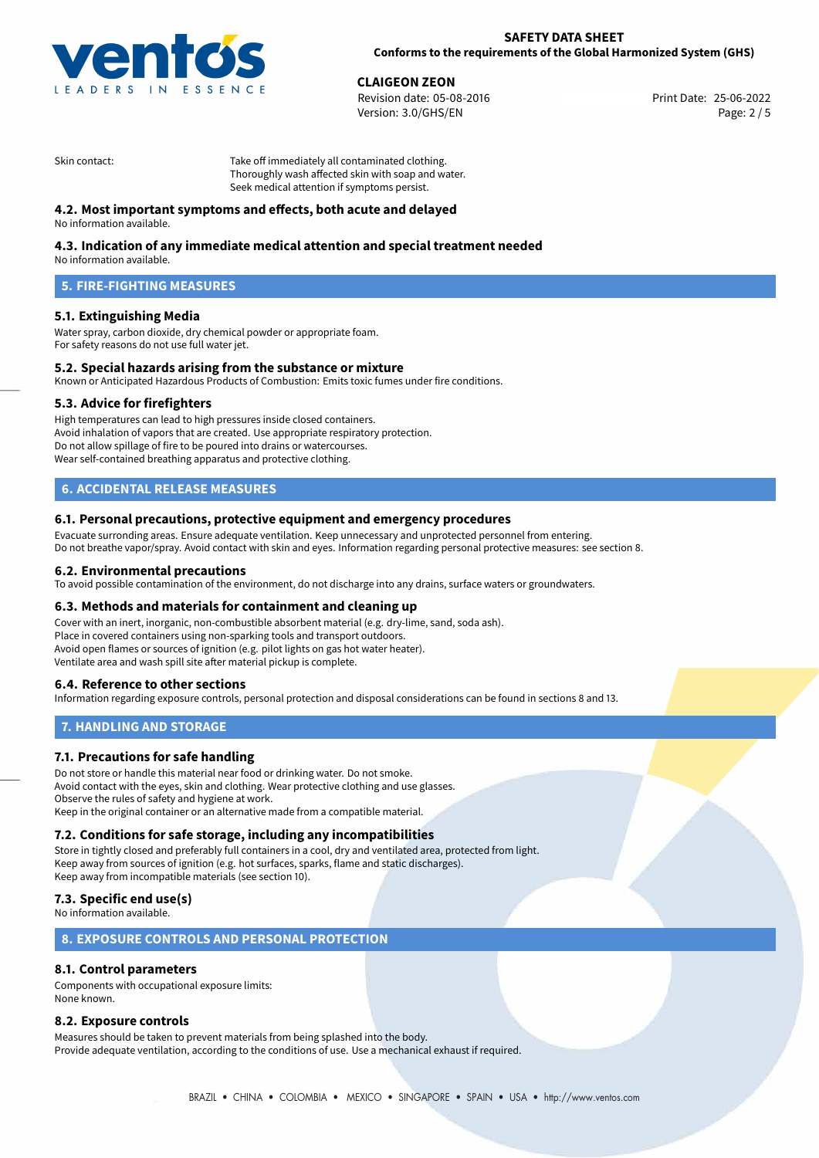

**CLAIGEON ZEON**<br>
Revision date: 05-08-2016 **Print Date: 25-06-2022** Version: 3.0/GHS/EN Page: 2 / 5

Skin contact: Take off immediately all contaminated clothing. Thoroughly wash affected skin with soap and water. Seek medical attention if symptoms persist.

# **4.2. Most important symptoms and effects, both acute and delayed**

No information available.

# **4.3. Indication of any immediate medical attention and special treatment needed**

No information available.

# **5. FIRE-FIGHTING MEASURES**

# **5.1. Extinguishing Media**

Water spray, carbon dioxide, dry chemical powder or appropriate foam. For safety reasons do not use full water jet.

### **5.2. Special hazards arising from the substance or mixture**

Known or Anticipated Hazardous Products of Combustion: Emits toxic fumes under fire conditions.

#### **5.3. Advice for firefighters**

High temperatures can lead to high pressures inside closed containers. Avoid inhalation of vapors that are created. Use appropriate respiratory protection. Do not allow spillage of fire to be poured into drains or watercourses. Wear self-contained breathing apparatus and protective clothing.

# **6. ACCIDENTAL RELEASE MEASURES**

#### **6.1. Personal precautions, protective equipment and emergency procedures**

Evacuate surronding areas. Ensure adequate ventilation. Keep unnecessary and unprotected personnel from entering. Do not breathe vapor/spray. Avoid contact with skin and eyes. Information regarding personal protective measures: see section 8.

#### **6.2. Environmental precautions**

To avoid possible contamination of the environment, do not discharge into any drains, surface waters or groundwaters.

#### **6.3. Methods and materials for containment and cleaning up**

Cover with an inert, inorganic, non-combustible absorbent material (e.g. dry-lime, sand, soda ash). Place in covered containers using non-sparking tools and transport outdoors. Avoid open flames or sources of ignition (e.g. pilot lights on gas hot water heater). Ventilate area and wash spill site after material pickup is complete.

# **6.4. Reference to other sections**

Information regarding exposure controls, personal protection and disposal considerations can be found in sections 8 and 13.

# **7. HANDLING AND STORAGE**

# **7.1. Precautions for safe handling**

Do not store or handle this material near food or drinking water. Do not smoke. Avoid contact with the eyes, skin and clothing. Wear protective clothing and use glasses. Observe the rules of safety and hygiene at work. Keep in the original container or an alternative made from a compatible material.

# **7.2. Conditions for safe storage, including any incompatibilities**

Store in tightly closed and preferably full containers in a cool, dry and ventilated area, protected from light. Keep away from sources of ignition (e.g. hot surfaces, sparks, flame and static discharges). Keep away from incompatible materials (see section 10).

# **7.3. Specific end use(s)**

No information available.

### **8. EXPOSURE CONTROLS AND PERSONAL PROTECTION**

## **8.1. Control parameters**

Components with occupational exposure limits: None known.

#### **8.2. Exposure controls**

Measures should be taken to prevent materials from being splashed into the body. Provide adequate ventilation, according to the conditions of use. Use a mechanical exhaust if required.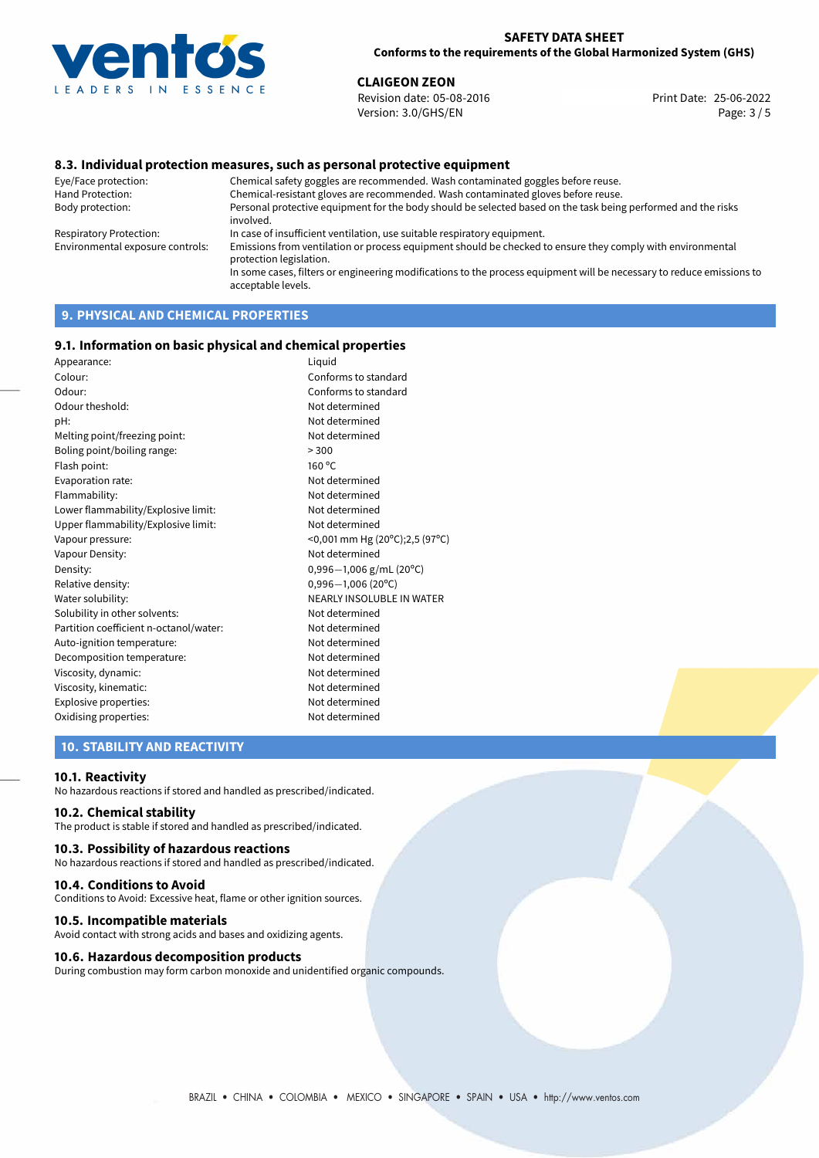

**CLAIGEON ZEON**<br>
Revision date: 05-08-2016<br> **Print Date: 25-06-2022** Revision date: 05-08-2016 Version: 3.0/GHS/EN Page: 3 / 5

### **8.3. Individual protection measures, such as personal protective equipment**

Eye/Face protection: Chemical safety goggles are recommended. Wash contaminated goggles before reuse. Chemical-resistant gloves are recommended. Wash contaminated gloves before reuse. Body protection: Personal protective equipment for the body should be selected based on the task being performed and the risks involved. Respiratory Protection: In case of insufficient ventilation, use suitable respiratory equipment. Environmental exposure controls: Emissions from ventilation or process equipment should be checked to ensure they comply with environmental protection legislation. In some cases, filters or engineering modifications to the process equipment will be necessary to reduce emissions to acceptable levels.

# **9. PHYSICAL AND CHEMICAL PROPERTIES**

#### **9.1. Information on basic physical and chemical properties**

| Appearance:                            | Liquid                         |
|----------------------------------------|--------------------------------|
| Colour:                                | Conforms to standard           |
| Odour:                                 | Conforms to standard           |
| Odour theshold:                        | Not determined                 |
| pH:                                    | Not determined                 |
| Melting point/freezing point:          | Not determined                 |
| Boling point/boiling range:            | > 300                          |
| Flash point:                           | 160 °C                         |
| Evaporation rate:                      | Not determined                 |
| Flammability:                          | Not determined                 |
| Lower flammability/Explosive limit:    | Not determined                 |
| Upper flammability/Explosive limit:    | Not determined                 |
| Vapour pressure:                       | <0,001 mm Hg (20°C);2,5 (97°C) |
| Vapour Density:                        | Not determined                 |
| Density:                               | $0,996-1,006$ g/mL (20°C)      |
| Relative density:                      | $0,996 - 1,006$ (20°C)         |
| Water solubility:                      | NEARLY INSOLUBLE IN WATER      |
| Solubility in other solvents:          | Not determined                 |
| Partition coefficient n-octanol/water: | Not determined                 |
| Auto-ignition temperature:             | Not determined                 |
| Decomposition temperature:             | Not determined                 |
| Viscosity, dynamic:                    | Not determined                 |
| Viscosity, kinematic:                  | Not determined                 |
| Explosive properties:                  | Not determined                 |
| Oxidising properties:                  | Not determined                 |

### **10. STABILITY AND REACTIVITY**

#### **10.1. Reactivity**

No hazardous reactions if stored and handled as prescribed/indicated.

### **10.2. Chemical stability**

The product is stable if stored and handled as prescribed/indicated.

#### **10.3. Possibility of hazardous reactions**

No hazardous reactions if stored and handled as prescribed/indicated.

#### **10.4. Conditions to Avoid**

Conditions to Avoid: Excessive heat, flame or other ignition sources.

#### **10.5. Incompatible materials**

Avoid contact with strong acids and bases and oxidizing agents.

#### **10.6. Hazardous decomposition products**

During combustion may form carbon monoxide and unidentified organic compounds.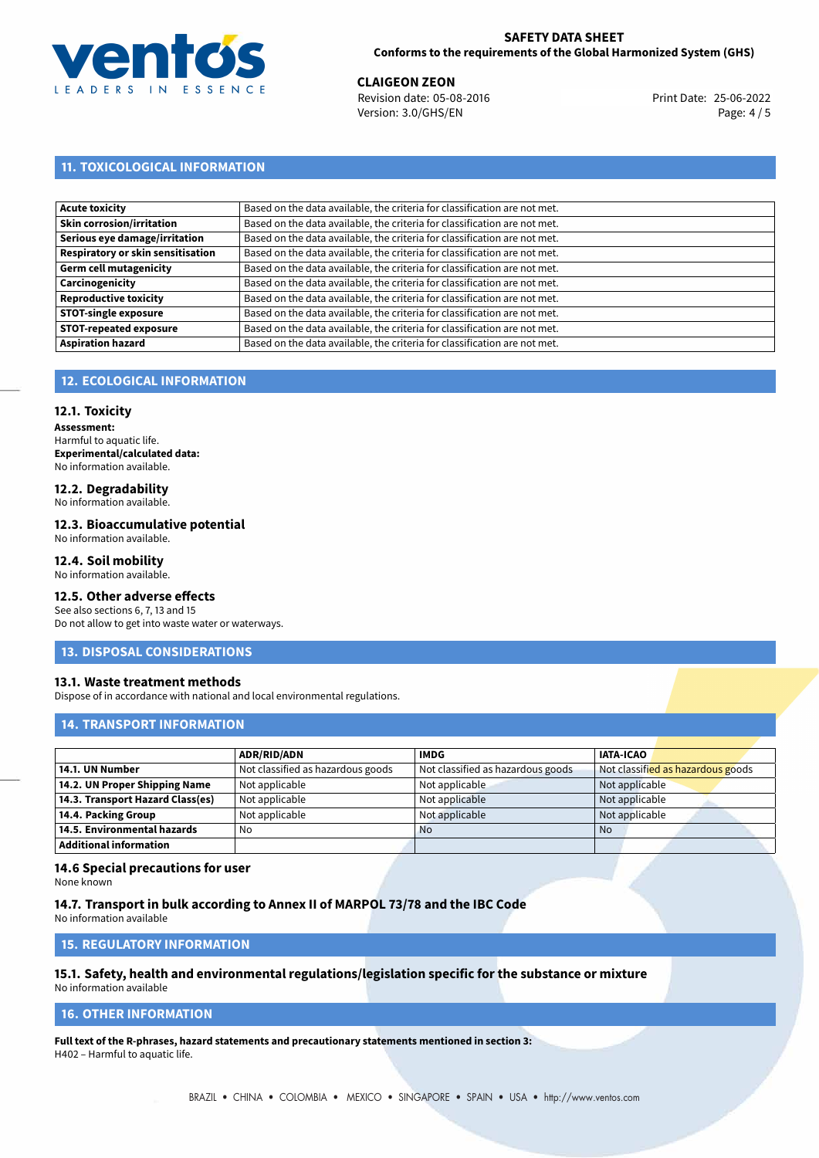

**CLAIGEON ZEON**<br>
Revision date: 05-08-2016 **Print Date: 25-06-2022** Version: 3.0/GHS/EN Page: 4 / 5

# **11. TOXICOLOGICAL INFORMATION**

| Based on the data available, the criteria for classification are not met. |
|---------------------------------------------------------------------------|
| Based on the data available, the criteria for classification are not met. |
| Based on the data available, the criteria for classification are not met. |
| Based on the data available, the criteria for classification are not met. |
| Based on the data available, the criteria for classification are not met. |
| Based on the data available, the criteria for classification are not met. |
| Based on the data available, the criteria for classification are not met. |
| Based on the data available, the criteria for classification are not met. |
| Based on the data available, the criteria for classification are not met. |
| Based on the data available, the criteria for classification are not met. |
|                                                                           |

# **12. ECOLOGICAL INFORMATION**

#### **12.1. Toxicity**

**Assessment:** Harmful to aquatic life. **Experimental/calculated data:** No information available.

# **12.2. Degradability**

No information available.

### **12.3. Bioaccumulative potential**

No information available.

## **12.4. Soil mobility**

No information available.

## **12.5. Other adverse effects**

See also sections 6, 7, 13 and 15 Do not allow to get into waste water or waterways.

#### **13. DISPOSAL CONSIDERATIONS**

#### **13.1. Waste treatment methods**

Dispose of in accordance with national and local environmental regulations.

### **14. TRANSPORT INFORMATION**

|                                  | <b>ADR/RID/ADN</b>                | <b>IMDG</b>                       | <b>IATA-ICAO</b>                  |
|----------------------------------|-----------------------------------|-----------------------------------|-----------------------------------|
| 14.1. UN Number                  | Not classified as hazardous goods | Not classified as hazardous goods | Not classified as hazardous goods |
| 14.2. UN Proper Shipping Name    | Not applicable                    | Not applicable                    | Not applicable                    |
| 14.3. Transport Hazard Class(es) | Not applicable                    | Not applicable                    | Not applicable                    |
| 14.4. Packing Group              | Not applicable                    | Not applicable                    | Not applicable                    |
| 14.5. Environmental hazards      | No                                | <b>No</b>                         | No                                |
| <b>Additional information</b>    |                                   |                                   |                                   |

#### **14.6 Special precautions for user**

None known

#### **14.7. Transport in bulk according to Annex II of MARPOL 73/78 and the IBC Code**

No information available

# **15. REGULATORY INFORMATION**

# **15.1. Safety, health and environmental regulations/legislation specific for the substance or mixture**

No information available

# **16. OTHER INFORMATION**

**Full text of the R-phrases, hazard statements and precautionary statements mentioned in section 3:** H402 – Harmful to aquatic life.